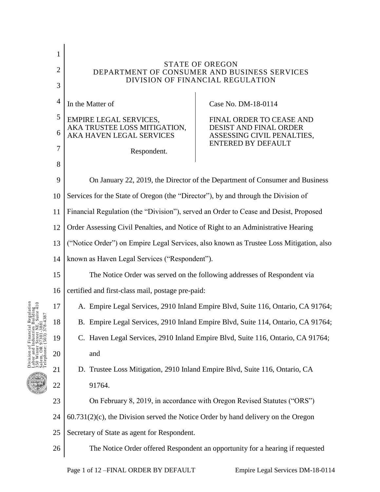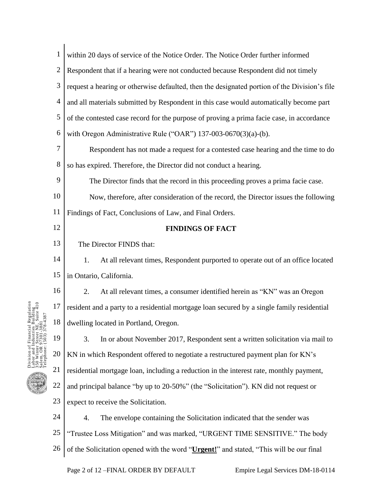|                                  | $\mathbf 1$    | within 20 days of service of the Notice Order. The Notice Order further informed             |
|----------------------------------|----------------|----------------------------------------------------------------------------------------------|
|                                  | $\overline{2}$ | Respondent that if a hearing were not conducted because Respondent did not timely            |
|                                  | 3              | request a hearing or otherwise defaulted, then the designated portion of the Division's file |
|                                  | $\overline{4}$ | and all materials submitted by Respondent in this case would automatically become part       |
|                                  | 5              | of the contested case record for the purpose of proving a prima facie case, in accordance    |
|                                  | 6              | with Oregon Administrative Rule ("OAR") 137-003-0670(3)(a)-(b).                              |
|                                  | $\overline{7}$ | Respondent has not made a request for a contested case hearing and the time to do            |
|                                  | 8              | so has expired. Therefore, the Director did not conduct a hearing.                           |
|                                  | 9              | The Director finds that the record in this proceeding proves a prima facie case.             |
|                                  | 10             | Now, therefore, after consideration of the record, the Director issues the following         |
|                                  | 11             | Findings of Fact, Conclusions of Law, and Final Orders.                                      |
|                                  | 12             | <b>FINDINGS OF FACT</b>                                                                      |
|                                  | 13             | The Director FINDS that:                                                                     |
|                                  | 14             | 1.<br>At all relevant times, Respondent purported to operate out of an office located        |
|                                  | 15             | in Ontario, California.                                                                      |
|                                  | 16             | At all relevant times, a consumer identified herein as "KN" was an Oregon<br>2.              |
| egulation<br>ilding<br>suite 410 | 17             | resident and a party to a residential mortgage loan secured by a single family residential   |
| 387                              | 18             | dwelling located in Portland, Oregon.                                                        |
|                                  | 19             | 3.<br>In or about November 2017, Respondent sent a written solicitation via mail to          |
|                                  | 20             | KN in which Respondent offered to negotiate a restructured payment plan for KN's             |
|                                  | 21             | residential mortgage loan, including a reduction in the interest rate, monthly payment,      |
|                                  | 22             | and principal balance "by up to 20-50%" (the "Solicitation"). KN did not request or          |
|                                  | 23             | expect to receive the Solicitation.                                                          |
|                                  | 24             | The envelope containing the Solicitation indicated that the sender was<br>4.                 |
|                                  | 25             | "Trustee Loss Mitigation" and was marked, "URGENT TIME SENSITIVE." The body                  |
|                                  | 26             | of the Solicitation opened with the word "Urgent!" and stated, "This will be our final       |
|                                  |                |                                                                                              |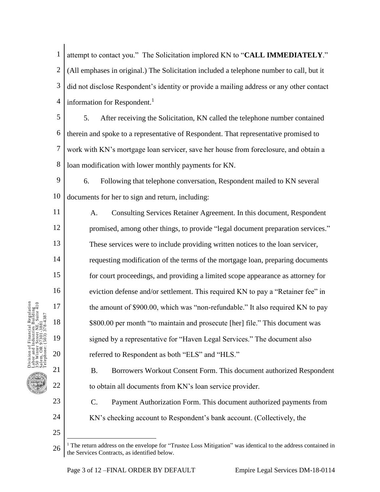1 2 3 4 attempt to contact you." The Solicitation implored KN to "**CALL IMMEDIATELY**." (All emphases in original.) The Solicitation included a telephone number to call, but it did not disclose Respondent's identity or provide a mailing address or any other contact information for Respondent.<sup>1</sup>

5 6 7 8 5. After receiving the Solicitation, KN called the telephone number contained therein and spoke to a representative of Respondent. That representative promised to work with KN's mortgage loan servicer, save her house from foreclosure, and obtain a loan modification with lower monthly payments for KN.

9 10 6. Following that telephone conversation, Respondent mailed to KN several documents for her to sign and return, including:

A. Consulting Services Retainer Agreement. In this document, Respondent promised, among other things, to provide "legal document preparation services." These services were to include providing written notices to the loan servicer, requesting modification of the terms of the mortgage loan, preparing documents for court proceedings, and providing a limited scope appearance as attorney for eviction defense and/or settlement. This required KN to pay a "Retainer fee" in the amount of \$900.00, which was "non-refundable." It also required KN to pay \$800.00 per month "to maintain and prosecute [her] file." This document was signed by a representative for "Haven Legal Services." The document also referred to Respondent as both "ELS" and "HLS."

B. Borrowers Workout Consent Form. This document authorized Respondent to obtain all documents from KN's loan service provider.

C. Payment Authorization Form. This document authorized payments from KN's checking account to Respondent's bank account. (Collectively, the

25

 $\overline{a}$ 

11

12

13

14

15

16

17

18

19

Division of Financial Regulation Labor and Industries Building 350 Winter Street NE, Suite 410 Salem, OR 97301-3881 Telephone: (503) 378-4387

Regulation<br>Building<br>Suite 410

20

21

22

23

24

<sup>26</sup> <sup>1</sup> The return address on the envelope for "Trustee Loss Mitigation" was identical to the address contained in the Services Contracts, as identified below.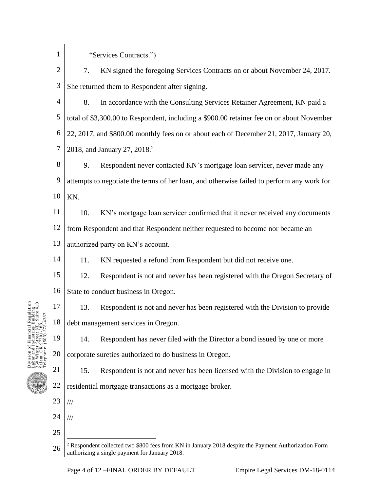1

"Services Contracts.")

2 3 7. KN signed the foregoing Services Contracts on or about November 24, 2017. She returned them to Respondent after signing.

4 5 6 7 8. In accordance with the Consulting Services Retainer Agreement, KN paid a total of \$3,300.00 to Respondent, including a \$900.00 retainer fee on or about November 22, 2017, and \$800.00 monthly fees on or about each of December 21, 2017, January 20, 2018, and January 27, 2018.<sup>2</sup>

8 9 10 9. Respondent never contacted KN's mortgage loan servicer, never made any attempts to negotiate the terms of her loan, and otherwise failed to perform any work for KN.

11 12 13 10. KN's mortgage loan servicer confirmed that it never received any documents from Respondent and that Respondent neither requested to become nor became an authorized party on KN's account.

14 11. KN requested a refund from Respondent but did not receive one.

15 16 12. Respondent is not and never has been registered with the Oregon Secretary of State to conduct business in Oregon.

17 18 13. Respondent is not and never has been registered with the Division to provide debt management services in Oregon.

19 20 14. Respondent has never filed with the Director a bond issued by one or more corporate sureties authorized to do business in Oregon.

21 22 15. Respondent is not and never has been licensed with the Division to engage in residential mortgage transactions as a mortgage broker.

23 ///

 $\overline{a}$ 

- 24 ///
- 25

Division of Financial Regulation Labor and Industries Building 350 Winter Street NE, Suite 410 Salem, OR 97301-3881 Telephone: (503) 378-4387

bor and I<br>0 Winter<br>lem, OR 9

l Regulation<br>Building<br>3. Suite 410

26 <sup>2</sup> Respondent collected two \$800 fees from KN in January 2018 despite the Payment Authorization Form authorizing a single payment for January 2018.

Page 4 of 12 – FINAL ORDER BY DEFAULT Empire Legal Services DM-18-0114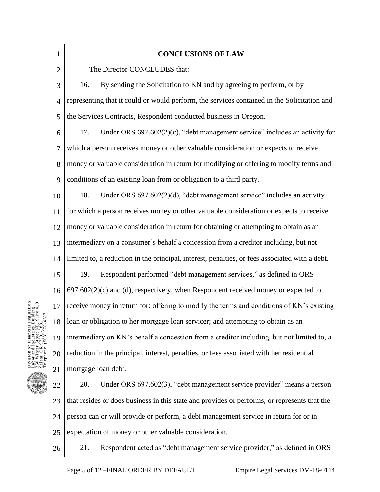| $\mathbf{1}$   | <b>CONCLUSIONS OF LAW</b>                                                                      |
|----------------|------------------------------------------------------------------------------------------------|
| $\overline{2}$ | The Director CONCLUDES that:                                                                   |
| 3              | 16.<br>By sending the Solicitation to KN and by agreeing to perform, or by                     |
| 4              | representing that it could or would perform, the services contained in the Solicitation and    |
| 5              | the Services Contracts, Respondent conducted business in Oregon.                               |
| 6              | Under ORS $697.602(2)(c)$ , "debt management service" includes an activity for<br>17.          |
| $\overline{7}$ | which a person receives money or other valuable consideration or expects to receive            |
| 8              | money or valuable consideration in return for modifying or offering to modify terms and        |
| 9              | conditions of an existing loan from or obligation to a third party.                            |
| 10             | 18.<br>Under ORS $697.602(2)(d)$ , "debt management service" includes an activity              |
| 11             | for which a person receives money or other valuable consideration or expects to receive        |
| 12             | money or valuable consideration in return for obtaining or attempting to obtain as an          |
| 13             | intermediary on a consumer's behalf a concession from a creditor including, but not            |
| 14             | limited to, a reduction in the principal, interest, penalties, or fees associated with a debt. |
| 15             | Respondent performed "debt management services," as defined in ORS<br>19.                      |
| 16             | 697.602(2)(c) and (d), respectively, when Respondent received money or expected to             |
| 17             | receive money in return for: offering to modify the terms and conditions of KN's existing      |
| 18             | loan or obligation to her mortgage loan servicer; and attempting to obtain as an               |
| 19             | intermediary on KN's behalf a concession from a creditor including, but not limited to, a      |
| 20             | reduction in the principal, interest, penalties, or fees associated with her residential       |
| 21             | mortgage loan debt.                                                                            |
| 22             | 20.<br>Under ORS 697.602(3), "debt management service provider" means a person                 |
| 23             | that resides or does business in this state and provides or performs, or represents that the   |
| 24             | person can or will provide or perform, a debt management service in return for or in           |
| 25             | expectation of money or other valuable consideration.                                          |



26

21. Respondent acted as "debt management service provider," as defined in ORS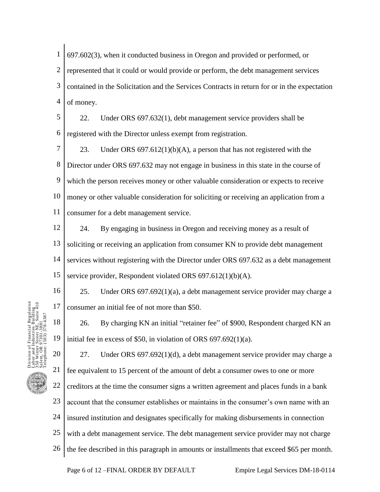1 2 3 4 697.602(3), when it conducted business in Oregon and provided or performed, or represented that it could or would provide or perform, the debt management services contained in the Solicitation and the Services Contracts in return for or in the expectation of money.

5 6 22. Under ORS 697.632(1), debt management service providers shall be registered with the Director unless exempt from registration.

7 8 9 10 11 23. Under ORS  $697.612(1)(b)(A)$ , a person that has not registered with the Director under ORS 697.632 may not engage in business in this state in the course of which the person receives money or other valuable consideration or expects to receive money or other valuable consideration for soliciting or receiving an application from a consumer for a debt management service.

12 13 14 15 24. By engaging in business in Oregon and receiving money as a result of soliciting or receiving an application from consumer KN to provide debt management services without registering with the Director under ORS 697.632 as a debt management service provider, Respondent violated ORS 697.612(1)(b)(A).

16 17 25. Under ORS 697.692(1)(a), a debt management service provider may charge a consumer an initial fee of not more than \$50.

26. By charging KN an initial "retainer fee" of \$900, Respondent charged KN an initial fee in excess of \$50, in violation of ORS 697.692(1)(a).

20 21 22 23 24 25 26 27. Under ORS 697.692(1)(d), a debt management service provider may charge a fee equivalent to 15 percent of the amount of debt a consumer owes to one or more creditors at the time the consumer signs a written agreement and places funds in a bank account that the consumer establishes or maintains in the consumer's own name with an insured institution and designates specifically for making disbursements in connection with a debt management service. The debt management service provider may not charge the fee described in this paragraph in amounts or installments that exceed \$65 per month.



18

19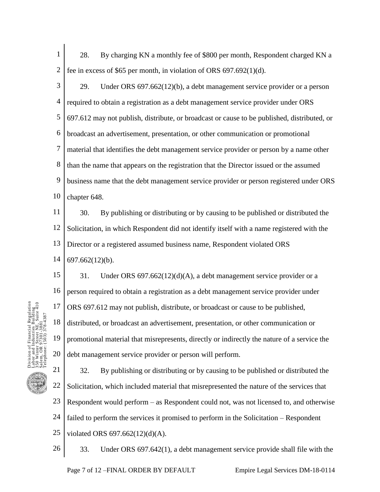- 1 2 28. By charging KN a monthly fee of \$800 per month, Respondent charged KN a fee in excess of \$65 per month, in violation of ORS 697.692(1)(d).
- 3 4 5 6 7 8 9 10 29. Under ORS 697.662(12)(b), a debt management service provider or a person required to obtain a registration as a debt management service provider under ORS 697.612 may not publish, distribute, or broadcast or cause to be published, distributed, or broadcast an advertisement, presentation, or other communication or promotional material that identifies the debt management service provider or person by a name other than the name that appears on the registration that the Director issued or the assumed business name that the debt management service provider or person registered under ORS chapter 648.

11 12 13 14 30. By publishing or distributing or by causing to be published or distributed the Solicitation, in which Respondent did not identify itself with a name registered with the Director or a registered assumed business name, Respondent violated ORS 697.662(12)(b).

15 16 17 18 19 20 31. Under ORS  $697.662(12)(d)(A)$ , a debt management service provider or a person required to obtain a registration as a debt management service provider under ORS 697.612 may not publish, distribute, or broadcast or cause to be published, distributed, or broadcast an advertisement, presentation, or other communication or promotional material that misrepresents, directly or indirectly the nature of a service the debt management service provider or person will perform.

21 22 23 24 25 32. By publishing or distributing or by causing to be published or distributed the Solicitation, which included material that misrepresented the nature of the services that Respondent would perform – as Respondent could not, was not licensed to, and otherwise failed to perform the services it promised to perform in the Solicitation – Respondent violated ORS 697.662(12)(d)(A).

Page 7 of 12 – FINAL ORDER BY DEFAULT Empire Legal Services DM-18-0114 26 33. Under ORS 697.642(1), a debt management service provide shall file with the

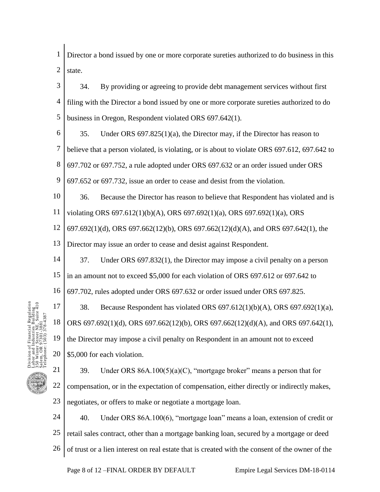1 2 Director a bond issued by one or more corporate sureties authorized to do business in this state.

3 4 5 34. By providing or agreeing to provide debt management services without first filing with the Director a bond issued by one or more corporate sureties authorized to do business in Oregon, Respondent violated ORS 697.642(1).

6 7 8 9 35. Under ORS 697.825(1)(a), the Director may, if the Director has reason to believe that a person violated, is violating, or is about to violate ORS 697.612, 697.642 to 697.702 or 697.752, a rule adopted under ORS 697.632 or an order issued under ORS 697.652 or 697.732, issue an order to cease and desist from the violation.

10 11 36. Because the Director has reason to believe that Respondent has violated and is violating ORS 697.612(1)(b)(A), ORS 697.692(1)(a), ORS 697.692(1)(a), ORS

12 697.692(1)(d), ORS 697.662(12)(b), ORS 697.662(12)(d)(A), and ORS 697.642(1), the

13 Director may issue an order to cease and desist against Respondent.

14 15 37. Under ORS 697.832(1), the Director may impose a civil penalty on a person in an amount not to exceed \$5,000 for each violation of ORS 697.612 or 697.642 to

16 697.702, rules adopted under ORS 697.632 or order issued under ORS 697.825.

17 18 19 20 38. Because Respondent has violated ORS 697.612(1)(b)(A), ORS 697.692(1)(a), ORS 697.692(1)(d), ORS 697.662(12)(b), ORS 697.662(12)(d)(A), and ORS 697.642(1), the Director may impose a civil penalty on Respondent in an amount not to exceed \$5,000 for each violation.

21 22 23 39. Under ORS 86A.100(5)(a)(C), "mortgage broker" means a person that for compensation, or in the expectation of compensation, either directly or indirectly makes, negotiates, or offers to make or negotiate a mortgage loan.

24 25 26 40. Under ORS 86A.100(6), "mortgage loan" means a loan, extension of credit or retail sales contract, other than a mortgage banking loan, secured by a mortgage or deed of trust or a lien interest on real estate that is created with the consent of the owner of the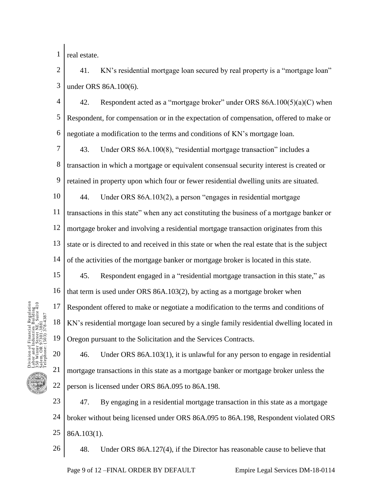1 real estate.

2 3 41. KN's residential mortgage loan secured by real property is a "mortgage loan" under ORS 86A.100(6).

4 5 6 42. Respondent acted as a "mortgage broker" under ORS 86A.100(5)(a)(C) when Respondent, for compensation or in the expectation of compensation, offered to make or negotiate a modification to the terms and conditions of KN's mortgage loan.

7 8 9 10 43. Under ORS 86A.100(8), "residential mortgage transaction" includes a transaction in which a mortgage or equivalent consensual security interest is created or retained in property upon which four or fewer residential dwelling units are situated. 44. Under ORS 86A.103(2), a person "engages in residential mortgage

11 12 13 14 transactions in this state" when any act constituting the business of a mortgage banker or mortgage broker and involving a residential mortgage transaction originates from this state or is directed to and received in this state or when the real estate that is the subject of the activities of the mortgage banker or mortgage broker is located in this state.

15 16 17 18 19 45. Respondent engaged in a "residential mortgage transaction in this state," as that term is used under ORS 86A.103(2), by acting as a mortgage broker when Respondent offered to make or negotiate a modification to the terms and conditions of KN's residential mortgage loan secured by a single family residential dwelling located in Oregon pursuant to the Solicitation and the Services Contracts.

Division of Financial Regulation Labor and Industries Building 350 Winter Street NE, Suite 410 Telephone: (503) 378-4387 Salem, OR 97301-3881 bor and I<br>0 Winter<br>.em, OR 20 21 22

1 Regulation<br>. Building<br>E. Suite 410

46. Under ORS 86A.103(1), it is unlawful for any person to engage in residential mortgage transactions in this state as a mortgage banker or mortgage broker unless the person is licensed under ORS 86A.095 to 86A.198.

23 24 25 47. By engaging in a residential mortgage transaction in this state as a mortgage broker without being licensed under ORS 86A.095 to 86A.198, Respondent violated ORS 86A.103(1).

48. Under ORS 86A.127(4), if the Director has reasonable cause to believe that

26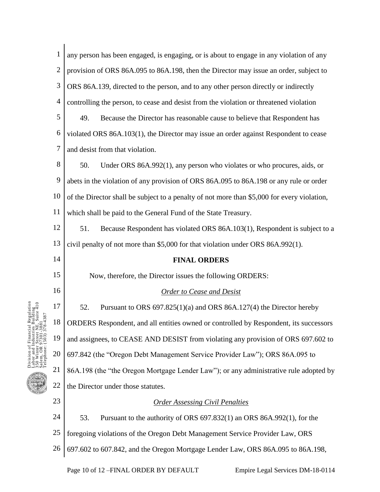| $\mathbf{1}$   | any person has been engaged, is engaging, or is about to engage in any violation of any     |
|----------------|---------------------------------------------------------------------------------------------|
| $\mathbf{2}$   | provision of ORS 86A.095 to 86A.198, then the Director may issue an order, subject to       |
| 3              | ORS 86A.139, directed to the person, and to any other person directly or indirectly         |
| $\overline{4}$ | controlling the person, to cease and desist from the violation or threatened violation      |
| $\mathfrak s$  | 49.<br>Because the Director has reasonable cause to believe that Respondent has             |
| 6              | violated ORS 86A.103(1), the Director may issue an order against Respondent to cease        |
| $\overline{7}$ | and desist from that violation.                                                             |
| $8\,$          | 50.<br>Under ORS 86A.992(1), any person who violates or who procures, aids, or              |
| 9              | abets in the violation of any provision of ORS 86A.095 to 86A.198 or any rule or order      |
| 10             | of the Director shall be subject to a penalty of not more than \$5,000 for every violation, |
| 11             | which shall be paid to the General Fund of the State Treasury.                              |
| 12             | Because Respondent has violated ORS 86A.103(1), Respondent is subject to a<br>51.           |
| 13             | civil penalty of not more than \$5,000 for that violation under ORS 86A.992(1).             |
|                |                                                                                             |
| 14             | <b>FINAL ORDERS</b>                                                                         |
| 15             | Now, therefore, the Director issues the following ORDERS:                                   |
| 16             | <b>Order to Cease and Desist</b>                                                            |
| 17             | 52.<br>Pursuant to ORS $697.825(1)(a)$ and ORS $86A.127(4)$ the Director hereby             |
| 18             | ORDERS Respondent, and all entities owned or controlled by Respondent, its successors       |
| 19             | and assignees, to CEASE AND DESIST from violating any provision of ORS 697.602 to           |
| 20             | 697.842 (the "Oregon Debt Management Service Provider Law"); ORS 86A.095 to                 |
| 21             | 86A.198 (the "the Oregon Mortgage Lender Law"); or any administrative rule adopted by       |
| 22             | the Director under those statutes.                                                          |
| 23             | <b>Order Assessing Civil Penalties</b>                                                      |
| 24             | 53.<br>Pursuant to the authority of ORS 697.832(1) an ORS 86A.992(1), for the               |
| 25             | foregoing violations of the Oregon Debt Management Service Provider Law, ORS                |
| 26             | 697.602 to 607.842, and the Oregon Mortgage Lender Law, ORS 86A.095 to 86A.198,             |

Page 10 of 12 – FINAL ORDER BY DEFAULT Empire Legal Services DM-18-0114

Division of Financial Regulation Labor and Industries Building 350 Winter Street NE, Suite 410 Salem, OR 97301-3881 Telephone: (503) 378-4387

Division of Financial Regulation<br>Labor and Industries Building<br>350 Winte Strot- NE, Suite 410<br>Telephone: (503) 378-4387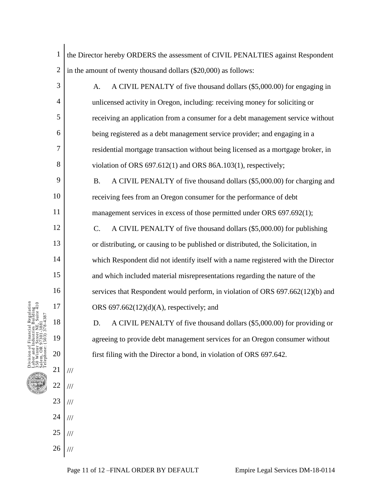|                                 | 1              | the Director hereby ORDERS the assessment of CIVIL PENALTIES against Respondent         |
|---------------------------------|----------------|-----------------------------------------------------------------------------------------|
|                                 | $\overline{2}$ | in the amount of twenty thousand dollars (\$20,000) as follows:                         |
|                                 | 3              | A CIVIL PENALTY of five thousand dollars (\$5,000.00) for engaging in<br>A.             |
|                                 | 4              | unlicensed activity in Oregon, including: receiving money for soliciting or             |
|                                 | 5              | receiving an application from a consumer for a debt management service without          |
|                                 | 6              | being registered as a debt management service provider; and engaging in a               |
|                                 | $\overline{7}$ | residential mortgage transaction without being licensed as a mortgage broker, in        |
|                                 | 8              | violation of ORS $697.612(1)$ and ORS $86A.103(1)$ , respectively;                      |
|                                 | 9              | A CIVIL PENALTY of five thousand dollars (\$5,000.00) for charging and<br><b>B.</b>     |
|                                 | 10             | receiving fees from an Oregon consumer for the performance of debt                      |
|                                 | 11             | management services in excess of those permitted under ORS 697.692(1);                  |
|                                 | 12             | A CIVIL PENALTY of five thousand dollars (\$5,000.00) for publishing<br>$\mathcal{C}$ . |
|                                 | 13             | or distributing, or causing to be published or distributed, the Solicitation, in        |
|                                 | 14             | which Respondent did not identify itself with a name registered with the Director       |
|                                 | 15             | and which included material misrepresentations regarding the nature of the              |
|                                 | 16             | services that Respondent would perform, in violation of ORS 697.662(12)(b) and          |
| egulation<br>ilding<br>uite 410 | 17             | ORS $697.662(12)(d)(A)$ , respectively; and                                             |
| 387                             | $18\,$         | D.<br>A CIVIL PENALTY of five thousand dollars (\$5,000.00) for providing or            |
|                                 | 19             | agreeing to provide debt management services for an Oregon consumer without             |
|                                 | 20             | first filing with the Director a bond, in violation of ORS 697.642.                     |
|                                 | 21             | $/\!/ \!/$                                                                              |
|                                 | 22             | $/\!/ \!/$                                                                              |
|                                 | 23             | $/\!/ \!/$                                                                              |
|                                 | 24             | $/\!/ \!/$                                                                              |
|                                 | 25             | $\frac{1}{1}$                                                                           |
|                                 | 26             | $\frac{1}{1}$                                                                           |

Page 11 of 12 – FINAL ORDER BY DEFAULT Empire Legal Services DM-18-0114